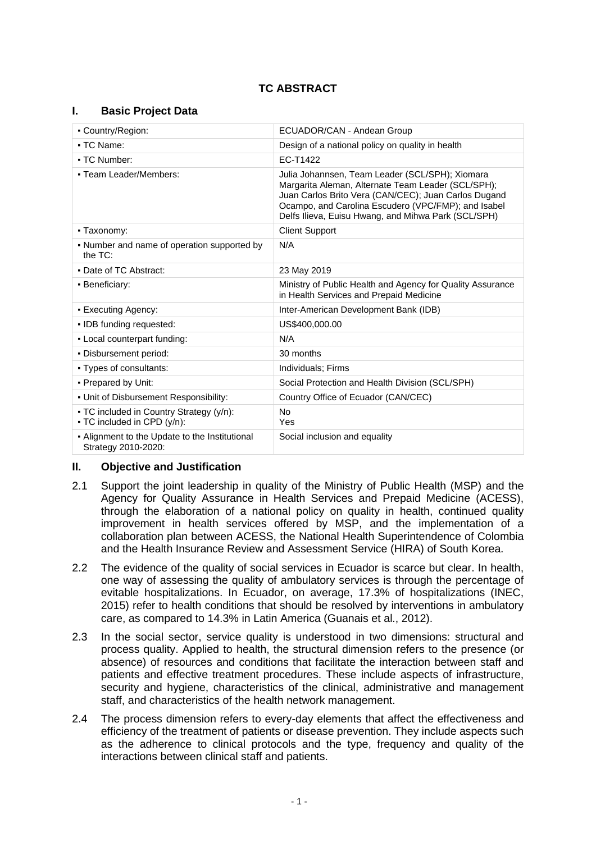# **TC ABSTRACT**

## **I. Basic Project Data**

| - Country/Region:                                                       | ECUADOR/CAN - Andean Group                                                                                                                                                                                                                                                  |  |
|-------------------------------------------------------------------------|-----------------------------------------------------------------------------------------------------------------------------------------------------------------------------------------------------------------------------------------------------------------------------|--|
| • TC Name:                                                              | Design of a national policy on quality in health                                                                                                                                                                                                                            |  |
| • TC Number:                                                            | EC-T1422                                                                                                                                                                                                                                                                    |  |
| • Team Leader/Members:                                                  | Julia Johannsen, Team Leader (SCL/SPH); Xiomara<br>Margarita Aleman, Alternate Team Leader (SCL/SPH);<br>Juan Carlos Brito Vera (CAN/CEC); Juan Carlos Dugand<br>Ocampo, and Carolina Escudero (VPC/FMP); and Isabel<br>Delfs Ilieva, Euisu Hwang, and Mihwa Park (SCL/SPH) |  |
| - Taxonomy:                                                             | <b>Client Support</b>                                                                                                                                                                                                                                                       |  |
| • Number and name of operation supported by<br>the $TC$ :               | N/A                                                                                                                                                                                                                                                                         |  |
| • Date of TC Abstract:                                                  | 23 May 2019                                                                                                                                                                                                                                                                 |  |
| • Beneficiary:                                                          | Ministry of Public Health and Agency for Quality Assurance<br>in Health Services and Prepaid Medicine                                                                                                                                                                       |  |
| • Executing Agency:                                                     | Inter-American Development Bank (IDB)                                                                                                                                                                                                                                       |  |
| · IDB funding requested:                                                | US\$400,000.00                                                                                                                                                                                                                                                              |  |
| - Local counterpart funding:                                            | N/A                                                                                                                                                                                                                                                                         |  |
| . Disbursement period:                                                  | 30 months                                                                                                                                                                                                                                                                   |  |
| • Types of consultants:                                                 | Individuals; Firms                                                                                                                                                                                                                                                          |  |
| • Prepared by Unit:                                                     | Social Protection and Health Division (SCL/SPH)                                                                                                                                                                                                                             |  |
| . Unit of Disbursement Responsibility:                                  | Country Office of Ecuador (CAN/CEC)                                                                                                                                                                                                                                         |  |
| - TC included in Country Strategy (y/n):<br>• TC included in CPD (y/n): | <b>No</b><br>Yes                                                                                                                                                                                                                                                            |  |
| - Alignment to the Update to the Institutional<br>Strategy 2010-2020:   | Social inclusion and equality                                                                                                                                                                                                                                               |  |

## **II. Objective and Justification**

- 2.1 Support the joint leadership in quality of the Ministry of Public Health (MSP) and the Agency for Quality Assurance in Health Services and Prepaid Medicine (ACESS), through the elaboration of a national policy on quality in health, continued quality improvement in health services offered by MSP, and the implementation of a collaboration plan between ACESS, the National Health Superintendence of Colombia and the Health Insurance Review and Assessment Service (HIRA) of South Korea.
- 2.2 The evidence of the quality of social services in Ecuador is scarce but clear. In health, one way of assessing the quality of ambulatory services is through the percentage of evitable hospitalizations. In Ecuador, on average, 17.3% of hospitalizations (INEC, 2015) refer to health conditions that should be resolved by interventions in ambulatory care, as compared to 14.3% in Latin America (Guanais et al., 2012).
- 2.3 In the social sector, service quality is understood in two dimensions: structural and process quality. Applied to health, the structural dimension refers to the presence (or absence) of resources and conditions that facilitate the interaction between staff and patients and effective treatment procedures. These include aspects of infrastructure, security and hygiene, characteristics of the clinical, administrative and management staff, and characteristics of the health network management.
- 2.4 The process dimension refers to every-day elements that affect the effectiveness and efficiency of the treatment of patients or disease prevention. They include aspects such as the adherence to clinical protocols and the type, frequency and quality of the interactions between clinical staff and patients.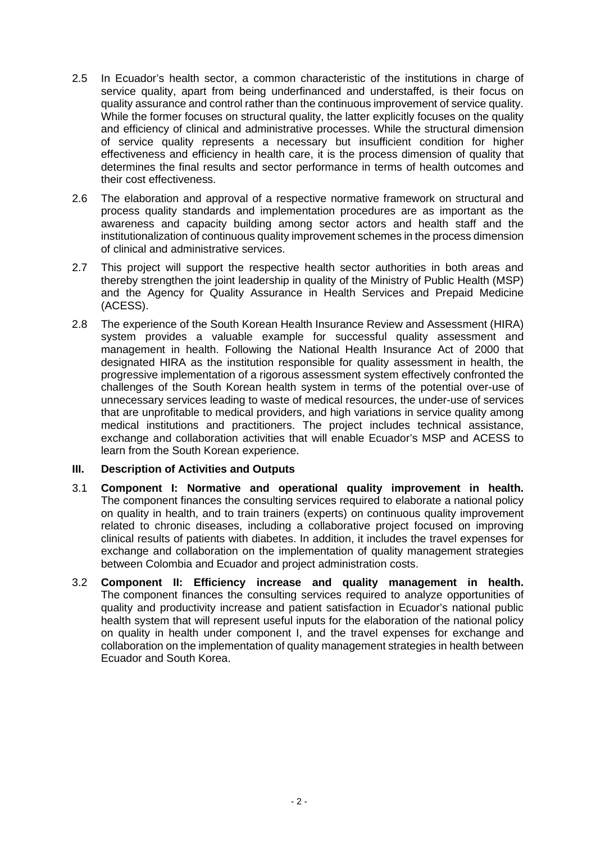- 2.5 In Ecuador's health sector, a common characteristic of the institutions in charge of service quality, apart from being underfinanced and understaffed, is their focus on quality assurance and control rather than the continuous improvement of service quality. While the former focuses on structural quality, the latter explicitly focuses on the quality and efficiency of clinical and administrative processes. While the structural dimension of service quality represents a necessary but insufficient condition for higher effectiveness and efficiency in health care, it is the process dimension of quality that determines the final results and sector performance in terms of health outcomes and their cost effectiveness.
- 2.6 The elaboration and approval of a respective normative framework on structural and process quality standards and implementation procedures are as important as the awareness and capacity building among sector actors and health staff and the institutionalization of continuous quality improvement schemes in the process dimension of clinical and administrative services.
- 2.7 This project will support the respective health sector authorities in both areas and thereby strengthen the joint leadership in quality of the Ministry of Public Health (MSP) and the Agency for Quality Assurance in Health Services and Prepaid Medicine (ACESS).
- 2.8 The experience of the South Korean Health Insurance Review and Assessment (HIRA) system provides a valuable example for successful quality assessment and management in health. Following the National Health Insurance Act of 2000 that designated HIRA as the institution responsible for quality assessment in health, the progressive implementation of a rigorous assessment system effectively confronted the challenges of the South Korean health system in terms of the potential over-use of unnecessary services leading to waste of medical resources, the under-use of services that are unprofitable to medical providers, and high variations in service quality among medical institutions and practitioners. The project includes technical assistance, exchange and collaboration activities that will enable Ecuador's MSP and ACESS to learn from the South Korean experience.

## **III. Description of Activities and Outputs**

- 3.1 **Component I: Normative and operational quality improvement in health.**  The component finances the consulting services required to elaborate a national policy on quality in health, and to train trainers (experts) on continuous quality improvement related to chronic diseases, including a collaborative project focused on improving clinical results of patients with diabetes. In addition, it includes the travel expenses for exchange and collaboration on the implementation of quality management strategies between Colombia and Ecuador and project administration costs.
- 3.2 **Component II: Efficiency increase and quality management in health.** The component finances the consulting services required to analyze opportunities of quality and productivity increase and patient satisfaction in Ecuador's national public health system that will represent useful inputs for the elaboration of the national policy on quality in health under component I, and the travel expenses for exchange and collaboration on the implementation of quality management strategies in health between Ecuador and South Korea.